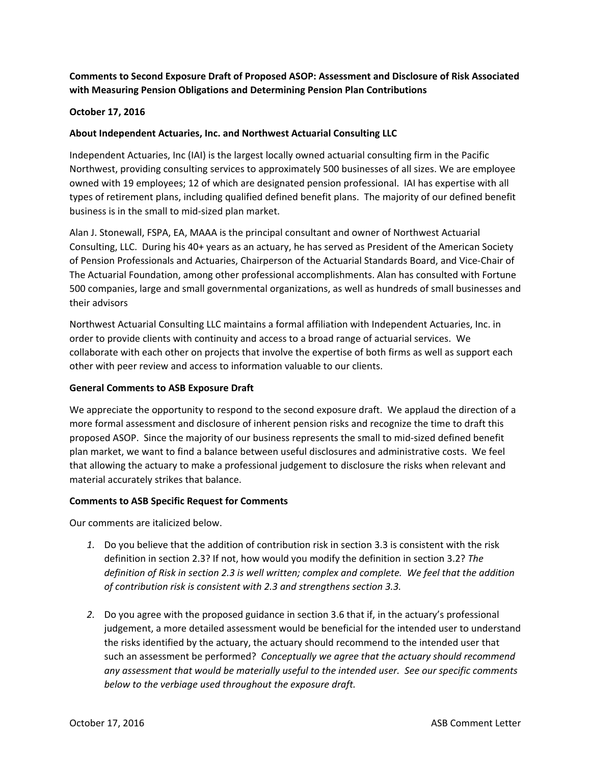# **Comments to Second Exposure Draft of Proposed ASOP: Assessment and Disclosure of Risk Associated with Measuring Pension Obligations and Determining Pension Plan Contributions**

## **October 17, 2016**

## **About Independent Actuaries, Inc. and Northwest Actuarial Consulting LLC**

Independent Actuaries, Inc (IAI) is the largest locally owned actuarial consulting firm in the Pacific Northwest, providing consulting services to approximately 500 businesses of all sizes. We are employee owned with 19 employees; 12 of which are designated pension professional. IAI has expertise with all types of retirement plans, including qualified defined benefit plans. The majority of our defined benefit business is in the small to mid‐sized plan market.

Alan J. Stonewall, FSPA, EA, MAAA is the principal consultant and owner of Northwest Actuarial Consulting, LLC. During his 40+ years as an actuary, he has served as President of the American Society of Pension Professionals and Actuaries, Chairperson of the Actuarial Standards Board, and Vice‐Chair of The Actuarial Foundation, among other professional accomplishments. Alan has consulted with Fortune 500 companies, large and small governmental organizations, as well as hundreds of small businesses and their advisors

Northwest Actuarial Consulting LLC maintains a formal affiliation with Independent Actuaries, Inc. in order to provide clients with continuity and access to a broad range of actuarial services. We collaborate with each other on projects that involve the expertise of both firms as well as support each other with peer review and access to information valuable to our clients.

## **General Comments to ASB Exposure Draft**

We appreciate the opportunity to respond to the second exposure draft. We applaud the direction of a more formal assessment and disclosure of inherent pension risks and recognize the time to draft this proposed ASOP. Since the majority of our business represents the small to mid‐sized defined benefit plan market, we want to find a balance between useful disclosures and administrative costs. We feel that allowing the actuary to make a professional judgement to disclosure the risks when relevant and material accurately strikes that balance.

## **Comments to ASB Specific Request for Comments**

Our comments are italicized below.

- *1.* Do you believe that the addition of contribution risk in section 3.3 is consistent with the risk definition in section 2.3? If not, how would you modify the definition in section 3.2? *The definition of Risk in section 2.3 is well written; complex and complete. We feel that the addition of contribution risk is consistent with 2.3 and strengthens section 3.3.*
- *2.* Do you agree with the proposed guidance in section 3.6 that if, in the actuary's professional judgement, a more detailed assessment would be beneficial for the intended user to understand the risks identified by the actuary, the actuary should recommend to the intended user that such an assessment be performed? *Conceptually we agree that the actuary should recommend any assessment that would be materially useful to the intended user. See our specific comments below to the verbiage used throughout the exposure draft.*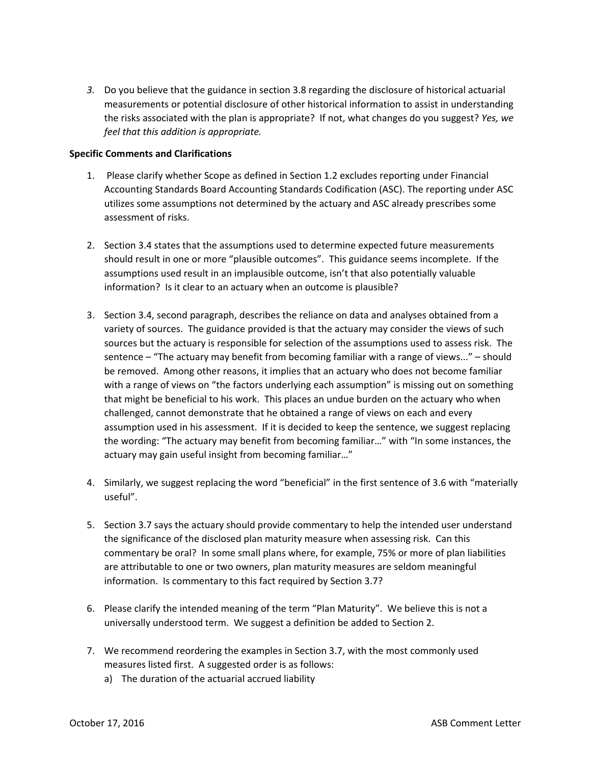*3.* Do you believe that the guidance in section 3.8 regarding the disclosure of historical actuarial measurements or potential disclosure of other historical information to assist in understanding the risks associated with the plan is appropriate? If not, what changes do you suggest? *Yes, we feel that this addition is appropriate.* 

### **Specific Comments and Clarifications**

- 1. Please clarify whether Scope as defined in Section 1.2 excludes reporting under Financial Accounting Standards Board Accounting Standards Codification (ASC). The reporting under ASC utilizes some assumptions not determined by the actuary and ASC already prescribes some assessment of risks.
- 2. Section 3.4 states that the assumptions used to determine expected future measurements should result in one or more "plausible outcomes". This guidance seems incomplete. If the assumptions used result in an implausible outcome, isn't that also potentially valuable information? Is it clear to an actuary when an outcome is plausible?
- 3. Section 3.4, second paragraph, describes the reliance on data and analyses obtained from a variety of sources. The guidance provided is that the actuary may consider the views of such sources but the actuary is responsible for selection of the assumptions used to assess risk. The sentence – "The actuary may benefit from becoming familiar with a range of views..." – should be removed. Among other reasons, it implies that an actuary who does not become familiar with a range of views on "the factors underlying each assumption" is missing out on something that might be beneficial to his work. This places an undue burden on the actuary who when challenged, cannot demonstrate that he obtained a range of views on each and every assumption used in his assessment. If it is decided to keep the sentence, we suggest replacing the wording: "The actuary may benefit from becoming familiar…" with "In some instances, the actuary may gain useful insight from becoming familiar…"
- 4. Similarly, we suggest replacing the word "beneficial" in the first sentence of 3.6 with "materially useful".
- 5. Section 3.7 says the actuary should provide commentary to help the intended user understand the significance of the disclosed plan maturity measure when assessing risk. Can this commentary be oral? In some small plans where, for example, 75% or more of plan liabilities are attributable to one or two owners, plan maturity measures are seldom meaningful information. Is commentary to this fact required by Section 3.7?
- 6. Please clarify the intended meaning of the term "Plan Maturity". We believe this is not a universally understood term. We suggest a definition be added to Section 2.
- 7. We recommend reordering the examples in Section 3.7, with the most commonly used measures listed first. A suggested order is as follows:
	- a) The duration of the actuarial accrued liability